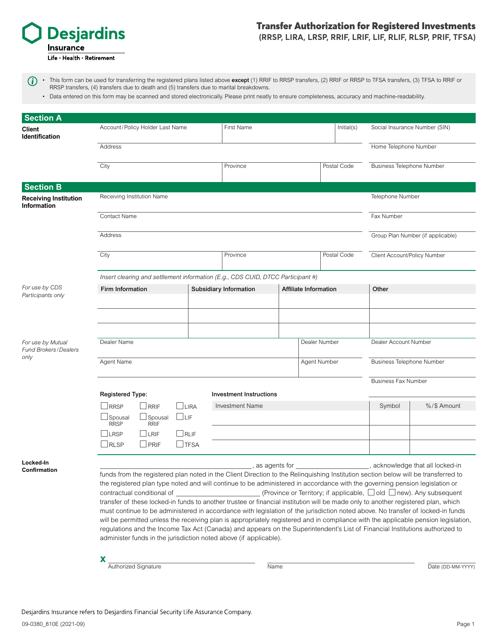

## Transfer Authorization for Registered Investments **(RRSP, LIRA, LRSP, RRIF, LRIF, LIF, RLIF, RLSP, PRIF, TFSA)**

• This form can be used for transferring the registered plans listed above except (1) RRIF to RRSP transfers, (2) RRIF or RRSP to TFSA transfers, (3) TFSA to RRIF or  $(i)$ RRSP transfers, (4) transfers due to death and (5) transfers due to marital breakdowns.

• Data entered on this form may be scanned and stored electronically. Please print neatly to ensure completeness, accuracy and machine-readability.

| <b>Section A</b>                                    |                                                                                                                                                                                                                                                                       |                            |                  |                          |                                                        |  |  |                               |                              |                                   |             |  |
|-----------------------------------------------------|-----------------------------------------------------------------------------------------------------------------------------------------------------------------------------------------------------------------------------------------------------------------------|----------------------------|------------------|--------------------------|--------------------------------------------------------|--|--|-------------------------------|------------------------------|-----------------------------------|-------------|--|
| Client<br><b>Identification</b>                     | Account/Policy Holder Last Name                                                                                                                                                                                                                                       |                            |                  | First Name<br>Initial(s) |                                                        |  |  | Social Insurance Number (SIN) |                              |                                   |             |  |
|                                                     | Address                                                                                                                                                                                                                                                               |                            |                  |                          |                                                        |  |  |                               |                              | Home Telephone Number             |             |  |
|                                                     | City                                                                                                                                                                                                                                                                  |                            |                  |                          | Province                                               |  |  | Postal Code                   |                              | <b>Business Telephone Number</b>  |             |  |
| <b>Section B</b>                                    |                                                                                                                                                                                                                                                                       |                            |                  |                          |                                                        |  |  |                               |                              |                                   |             |  |
| <b>Receiving Institution</b><br><b>Information</b>  |                                                                                                                                                                                                                                                                       | Receiving Institution Name | Telephone Number |                          |                                                        |  |  |                               |                              |                                   |             |  |
|                                                     | <b>Contact Name</b>                                                                                                                                                                                                                                                   |                            |                  |                          |                                                        |  |  |                               |                              |                                   | Fax Number  |  |
|                                                     | Address                                                                                                                                                                                                                                                               |                            |                  |                          |                                                        |  |  |                               |                              | Group Plan Number (if applicable) |             |  |
|                                                     | City                                                                                                                                                                                                                                                                  |                            |                  |                          | Province<br>Postal Code                                |  |  |                               | Client Account/Policy Number |                                   |             |  |
|                                                     | Insert clearing and settlement information (E.g., CDS CUID, DTCC Participant #)                                                                                                                                                                                       |                            |                  |                          |                                                        |  |  |                               |                              |                                   |             |  |
| For use by CDS                                      | <b>Firm Information</b>                                                                                                                                                                                                                                               |                            |                  |                          | <b>Affiliate Information</b><br>Subsidiary Information |  |  |                               |                              | Other                             |             |  |
| Participants only                                   |                                                                                                                                                                                                                                                                       |                            |                  |                          |                                                        |  |  |                               |                              |                                   |             |  |
|                                                     |                                                                                                                                                                                                                                                                       |                            |                  |                          |                                                        |  |  |                               |                              |                                   |             |  |
|                                                     |                                                                                                                                                                                                                                                                       |                            |                  |                          |                                                        |  |  |                               |                              |                                   |             |  |
| For use by Mutual<br>Fund Brokers / Dealers<br>only | Dealer Name                                                                                                                                                                                                                                                           |                            |                  |                          |                                                        |  |  | Dealer Number                 |                              | Dealer Account Number             |             |  |
|                                                     | Agent Name                                                                                                                                                                                                                                                            |                            |                  |                          |                                                        |  |  | Agent Number                  |                              | Business Telephone Number         |             |  |
|                                                     |                                                                                                                                                                                                                                                                       |                            |                  |                          |                                                        |  |  |                               |                              | <b>Business Fax Number</b>        |             |  |
|                                                     | <b>Registered Type:</b>                                                                                                                                                                                                                                               |                            |                  |                          | <b>Investment Instructions</b>                         |  |  |                               |                              |                                   |             |  |
|                                                     | RRSP                                                                                                                                                                                                                                                                  | <b>RRIF</b>                | $\sqcup$ lira    |                          | <b>Investment Name</b>                                 |  |  |                               |                              | Symbol                            | %/\$ Amount |  |
|                                                     | Spousal<br><b>RRSP</b>                                                                                                                                                                                                                                                | Spousal<br><b>RRIF</b>     | LILIF            |                          |                                                        |  |  |                               |                              |                                   |             |  |
|                                                     | LRSP                                                                                                                                                                                                                                                                  | LRIF                       | RLIF             |                          |                                                        |  |  |                               |                              |                                   |             |  |
|                                                     | ∫RLSP                                                                                                                                                                                                                                                                 | <b>PRIF</b>                | $\sqcup$ TFSA    |                          |                                                        |  |  |                               |                              |                                   |             |  |
| Locked-In                                           |                                                                                                                                                                                                                                                                       |                            |                  |                          |                                                        |  |  |                               |                              |                                   |             |  |
| Confirmation                                        | , as agents for<br>acknowledge that all locked-in<br>funds from the registered plan noted in the Client Direction to the Relinquishing Institution section below will be transferred to                                                                               |                            |                  |                          |                                                        |  |  |                               |                              |                                   |             |  |
|                                                     | the registered plan type noted and will continue to be administered in accordance with the governing pension legislation or                                                                                                                                           |                            |                  |                          |                                                        |  |  |                               |                              |                                   |             |  |
|                                                     | contractual conditional of $\Box$ (Province or Territory; if applicable, $\Box$ old $\Box$ new). Any subsequent                                                                                                                                                       |                            |                  |                          |                                                        |  |  |                               |                              |                                   |             |  |
|                                                     | transfer of these locked-in funds to another trustee or financial institution will be made only to another registered plan, which                                                                                                                                     |                            |                  |                          |                                                        |  |  |                               |                              |                                   |             |  |
|                                                     | must continue to be administered in accordance with legislation of the jurisdiction noted above. No transfer of locked-in funds<br>will be permitted unless the receiving plan is appropriately registered and in compliance with the applicable pension legislation, |                            |                  |                          |                                                        |  |  |                               |                              |                                   |             |  |
|                                                     | regulations and the Income Tax Act (Canada) and appears on the Superintendent's List of Financial Institutions authorized to                                                                                                                                          |                            |                  |                          |                                                        |  |  |                               |                              |                                   |             |  |
|                                                     | administer funds in the jurisdiction noted above (if applicable).                                                                                                                                                                                                     |                            |                  |                          |                                                        |  |  |                               |                              |                                   |             |  |
|                                                     |                                                                                                                                                                                                                                                                       |                            |                  |                          |                                                        |  |  |                               |                              |                                   |             |  |
|                                                     | $\mathbf{x}$                                                                                                                                                                                                                                                          |                            |                  |                          |                                                        |  |  |                               |                              |                                   |             |  |

Authorized Signature **Name Date (DD-MM-YYYY)** Name Date (DD-MM-YYYY)